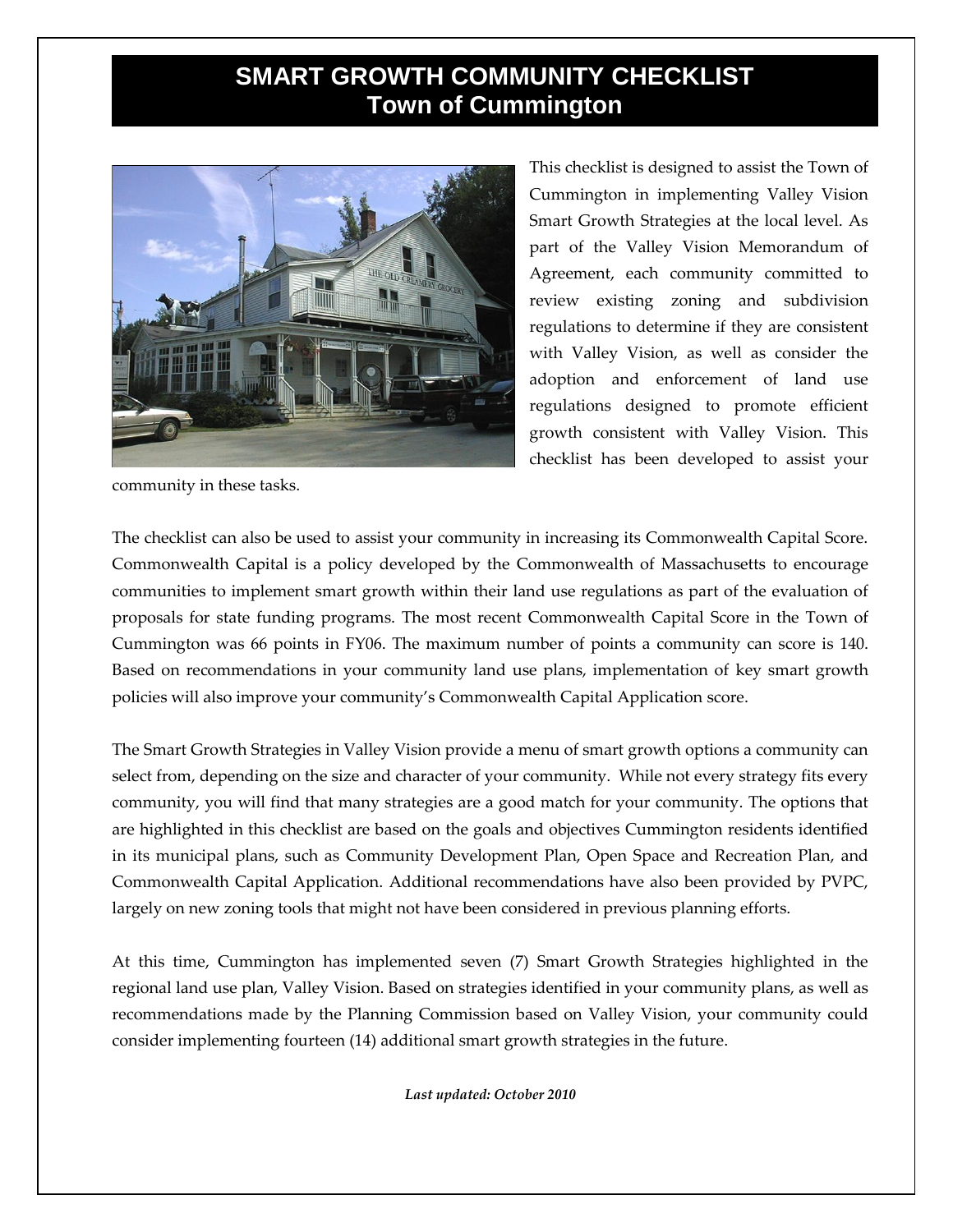## **SMART GROWTH COMMUNITY CHECKLIST Town of Cummington**



This checklist is designed to assist the Town of Cummington in implementing Valley Vision Smart Growth Strategies at the local level. As part of the Valley Vision Memorandum of Agreement, each community committed to review existing zoning and subdivision regulations to determine if they are consistent with Valley Vision, as well as consider the adoption and enforcement of land use regulations designed to promote efficient growth consistent with Valley Vision. This checklist has been developed to assist your

community in these tasks.

The checklist can also be used to assist your community in increasing its Commonwealth Capital Score. Commonwealth Capital is a policy developed by the Commonwealth of Massachusetts to encourage communities to implement smart growth within their land use regulations as part of the evaluation of proposals for state funding programs. The most recent Commonwealth Capital Score in the Town of Cummington was 66 points in FY06. The maximum number of points a community can score is 140. Based on recommendations in your community land use plans, implementation of key smart growth policies will also improve your community's Commonwealth Capital Application score.

The Smart Growth Strategies in Valley Vision provide a menu of smart growth options a community can select from, depending on the size and character of your community. While not every strategy fits every community, you will find that many strategies are a good match for your community. The options that are highlighted in this checklist are based on the goals and objectives Cummington residents identified in its municipal plans, such as Community Development Plan, Open Space and Recreation Plan, and Commonwealth Capital Application. Additional recommendations have also been provided by PVPC, largely on new zoning tools that might not have been considered in previous planning efforts.

At this time, Cummington has implemented seven (7) Smart Growth Strategies highlighted in the regional land use plan, Valley Vision. Based on strategies identified in your community plans, as well as recommendations made by the Planning Commission based on Valley Vision, your community could consider implementing fourteen (14) additional smart growth strategies in the future.

*Last updated: October 2010*